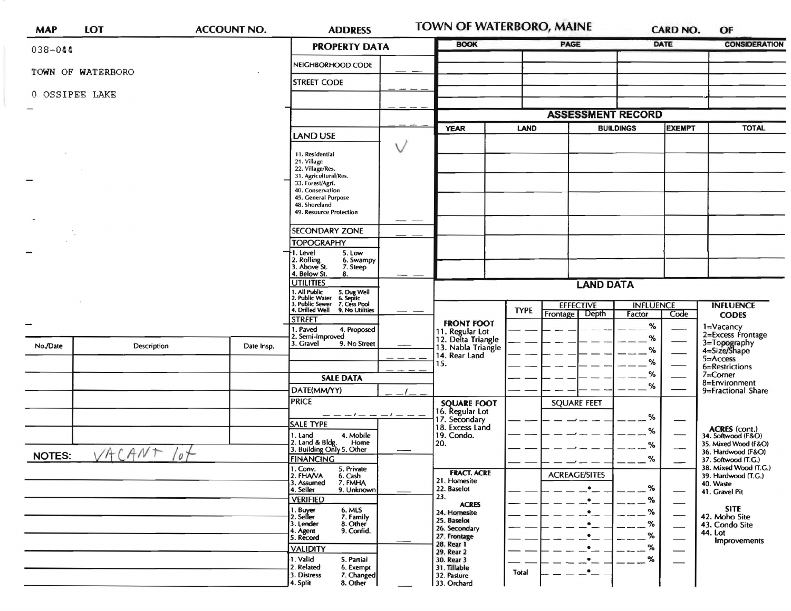| <b>MAP</b>                     | <b>LOT</b>         | <b>ACCOUNT NO.</b> | <b>ADDRESS</b>                                                                            | TOWN OF WATERBORO, MAINE |                                       |             | <b>CARD NO.</b>                      |                                   | OF   |                                              |
|--------------------------------|--------------------|--------------------|-------------------------------------------------------------------------------------------|--------------------------|---------------------------------------|-------------|--------------------------------------|-----------------------------------|------|----------------------------------------------|
| $038 - 044$                    |                    |                    | <b>PROPERTY DATA</b>                                                                      |                          | <b>BOOK</b>                           |             |                                      | <b>PAGE</b><br>DATE               |      | <b>CONSIDERATION</b>                         |
| TOWN OF WATERBORO              |                    |                    | NEIGHBORHOOD CODE                                                                         |                          |                                       |             |                                      |                                   |      |                                              |
|                                |                    |                    | <b>STREET CODE</b>                                                                        |                          |                                       |             |                                      |                                   |      |                                              |
| 0 OSSIPEE LAKE                 |                    |                    |                                                                                           |                          |                                       |             |                                      |                                   |      |                                              |
|                                |                    |                    |                                                                                           |                          |                                       |             | <b>ASSESSMENT RECORD</b>             |                                   |      |                                              |
|                                |                    |                    |                                                                                           |                          | <b>YEAR</b><br>LAND                   |             |                                      | <b>EXEMPT</b><br><b>BUILDINGS</b> |      | <b>TOTAL</b>                                 |
|                                |                    |                    | <b>LAND USE</b>                                                                           |                          |                                       |             |                                      |                                   |      |                                              |
|                                |                    |                    | 11. Residential                                                                           |                          |                                       |             |                                      |                                   |      |                                              |
|                                |                    |                    | 21. Village<br>22. Village/Res.                                                           |                          |                                       |             |                                      |                                   |      |                                              |
|                                |                    |                    | 31. Agricultural/Res.<br>33. Forest/Agri.                                                 |                          |                                       |             |                                      |                                   |      |                                              |
|                                |                    |                    | 40. Conservation<br>45. General Purpose                                                   |                          |                                       |             |                                      |                                   |      |                                              |
|                                |                    |                    | 48. Shoreland<br>49. Resource Protection                                                  |                          |                                       |             |                                      |                                   |      |                                              |
|                                |                    |                    |                                                                                           | $\overline{\phantom{a}}$ |                                       |             |                                      |                                   |      |                                              |
|                                |                    |                    | <b>SECONDARY ZONE</b><br><b>TOPOGRAPHY</b>                                                |                          |                                       |             |                                      |                                   |      |                                              |
|                                |                    |                    | 1. Level<br>5. Low                                                                        |                          |                                       |             |                                      |                                   |      |                                              |
|                                |                    |                    | 2. Rolling<br>3. Above St.<br>6. Swampy<br>7. Steep                                       |                          |                                       |             |                                      |                                   |      |                                              |
|                                |                    |                    | 4. Below St.<br>8.<br><b>UTILITIES</b>                                                    |                          | <b>LAND DATA</b>                      |             |                                      |                                   |      |                                              |
|                                |                    |                    | 5. Dug Well<br>6. Septic<br>7. Cess Pool                                                  |                          |                                       |             |                                      |                                   |      |                                              |
|                                |                    |                    | 1. All Public<br>2. Public Water<br>3. Public Sewer<br>4. Drilled Well<br>9. No Utilities |                          |                                       | <b>TYPE</b> | <b>EFFECTIVE</b><br>Frontage   Depth | <b>INFLUENCE</b><br>Factor        | Code | <b>INFLUENCE</b>                             |
| $\overline{\phantom{a}}$       |                    |                    | <b>STREET</b>                                                                             |                          | <b>FRONT FOOT</b>                     |             |                                      | %                                 |      | <b>CODES</b><br>1=Vacancy                    |
|                                |                    |                    | 1. Paved<br>4. Proposed<br>2. Semi-Improved                                               |                          | 11. Regular Lot<br>12. Delta Triangle |             |                                      | %                                 |      | 2=Excess Frontage                            |
| No./Date                       | <b>Description</b> | Date Insp.         | 3. Gravel<br>9. No Street                                                                 |                          | 13. Nabla Triangle<br>14. Rear Land   |             |                                      | ℅                                 |      | 3=Topography<br>4=Size/Shape                 |
|                                |                    |                    |                                                                                           |                          | 15.                                   |             |                                      | %                                 |      | $5 =$ Access<br>6=Restrictions               |
|                                |                    |                    | <b>SALE DATA</b>                                                                          |                          | <b>SQUARE FOOT</b>                    |             |                                      | ℅                                 |      | 7=Corner<br>8=Environment                    |
|                                |                    |                    | DATE(MM/YY)                                                                               |                          |                                       |             |                                      | %                                 |      | 9=Fractional Share                           |
|                                |                    |                    | <b>PRICE</b>                                                                              |                          |                                       |             | <b>SQUARE FEET</b>                   |                                   |      |                                              |
|                                |                    |                    | — — — 1<br>SALE TYPE                                                                      |                          | 16. Regular Lot<br>17. Secondary      |             |                                      | %                                 |      |                                              |
|                                |                    |                    | 1. Land<br>4. Mobile                                                                      |                          | 18. Excess Land<br>19. Condo.         |             |                                      | %                                 |      | ACRES (cont.)<br>34. Softwood (F&O)          |
|                                | VACANT             |                    | 2. Land & Bldg.<br>Home<br>3. Building Only 5. Other                                      |                          | 20.                                   |             |                                      | %                                 |      | 35. Mixed Wood (F&O)<br>36. Hardwood (F&O)   |
| $\sqrt{\rho}$<br><b>NOTES:</b> |                    |                    | <b>FINANCING</b><br>1. Conv.                                                              |                          |                                       |             |                                      | %                                 |      | 37. Softwood (T.G.)<br>38. Mixed Wood (T.G.) |
|                                |                    |                    | 5. Private<br>2. FHAVA<br>6. Cash<br>7. FMHA                                              |                          | <b>FRACT. ACRE</b><br>21. Homesite    |             | <b>ACREAGE/SITES</b>                 |                                   |      | 39. Hardwood (T.G.)                          |
|                                |                    |                    | 3. Assumed<br>4. Seller<br>9. Unknown                                                     |                          | 22. Baselot                           |             | $\bullet$                            | $\%$                              |      | 40. Waste<br>41. Gravel Pit                  |
|                                |                    |                    | <b>VERIFIED</b><br>6. MLS                                                                 |                          | 23.<br><b>ACRES</b>                   |             |                                      | %                                 |      | <b>SITE</b>                                  |
|                                |                    |                    | 1. Buyer<br>2. Seller<br>7. Family<br>8. Other<br>3. Lender                               |                          | 24. Homesite<br>25. Baselot           |             | $\cdot$                              | %<br>%                            |      | 42. Moho Site                                |
|                                |                    |                    | 9. Confid.<br>4. Agent<br>5. Record                                                       |                          | 26. Secondary<br>27. Frontage         |             |                                      | %                                 |      | 43. Condo Site<br>44. Lot                    |
|                                |                    |                    | <b>VALIDITY</b>                                                                           |                          | 28. Rear 1                            |             |                                      | %                                 |      | Improvements                                 |
|                                |                    |                    | 1. Valid<br>S. Partial                                                                    |                          | 29. Rear 2<br>30. Rear 3              |             |                                      | $\%$                              |      |                                              |
|                                |                    |                    | 2. Related<br>6. Exempt<br>3. Distress<br>7. Changed                                      |                          | 31. Tillable<br>32. Pasture           | Total       | $\cdot$                              |                                   |      |                                              |
|                                |                    |                    | 4. Split<br>8. Other                                                                      |                          | 33. Orchard                           |             |                                      |                                   |      |                                              |